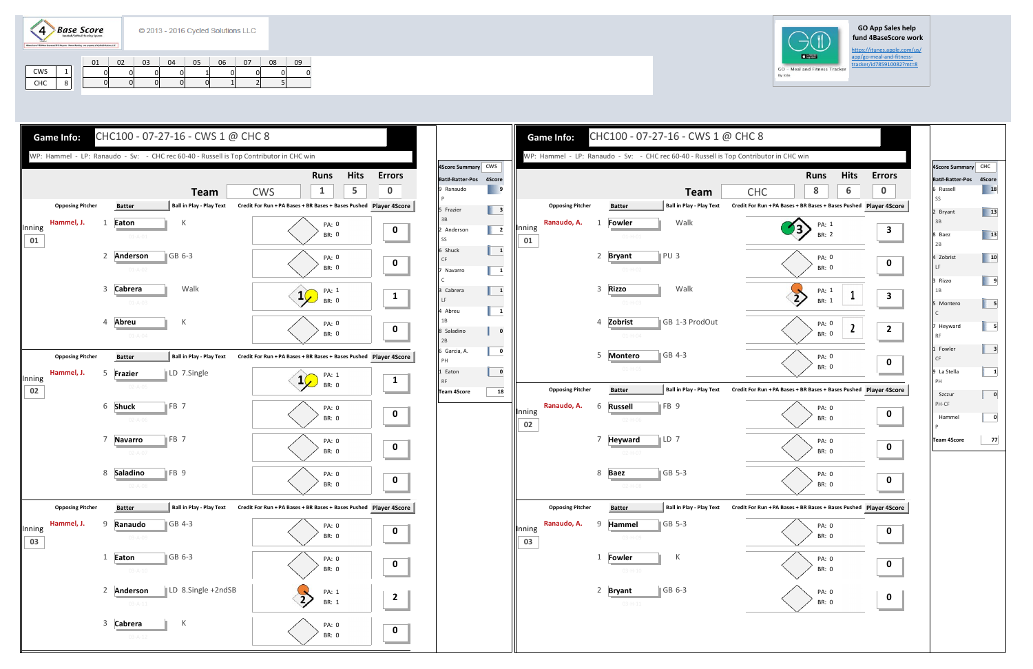$\left( 4\right)$ **Base Score** 

## **GO App Sales help fund 4BaseScore work**

https://itunes.apple.com/us/<br>app/go-meal-and-fitness-

|            | 01 | 02 | $\overline{03}$ | 04 | 05 | 06 | 07 | 08 | 09 |
|------------|----|----|-----------------|----|----|----|----|----|----|
| CWS        |    |    |                 |    |    |    |    |    |    |
| CHC<br>. ن |    |    |                 |    |    |    |    |    |    |



|              |                         |   |                                |                                 |                                                               | <b>Runs</b>    | <b>Hits</b>      |
|--------------|-------------------------|---|--------------------------------|---------------------------------|---------------------------------------------------------------|----------------|------------------|
|              |                         |   |                                | <b>Team</b>                     | <b>CHC</b>                                                    | 8              | 6                |
|              | <b>Opposing Pitcher</b> |   | <b>Batter</b>                  | <b>Ball in Play - Play Text</b> | Credit For Run + PA Bases + BR Bases + Bases Pushed Player 4S |                |                  |
|              | Ranaudo, A.             | 1 | Fowler                         | Walk                            |                                                               | PA: 1          |                  |
| Inning<br>01 |                         |   | $01 - H - 01$                  |                                 |                                                               | <b>BR: 2</b>   |                  |
|              |                         | 2 | <b>Bryant</b>                  | PU <sub>3</sub>                 |                                                               | PA: 0          |                  |
|              |                         |   | $01 - H - 02$                  |                                 |                                                               | <b>BR: 0</b>   |                  |
|              |                         | 3 | <b>Rizzo</b>                   | Walk                            |                                                               | PA: 1          | $\mathbf{1}$     |
|              |                         |   | $01-H-03$                      |                                 |                                                               | <b>BR: 1</b>   |                  |
|              |                         | 4 | Zobrist                        | GB 1-3 ProdOut                  |                                                               | PA: 0          | $\boldsymbol{2}$ |
|              |                         |   | $01-H-04$                      |                                 |                                                               | <b>BR: 0</b>   |                  |
|              |                         | 5 | <b>Montero</b>                 | GB 4-3                          |                                                               | PA: 0          |                  |
|              |                         |   | $01-H-05$                      |                                 |                                                               | BR: 0          |                  |
|              | <b>Opposing Pitcher</b> |   | <b>Batter</b>                  | <b>Ball in Play - Play Text</b> | Credit For Run + PA Bases + BR Bases + Bases Pushed Player 4S |                |                  |
| Inning       | Ranaudo, A.             | 6 | <b>Russell</b>                 | FB <sub>9</sub>                 |                                                               | PA: 0          |                  |
| 02           |                         |   | $02 - H - 06$                  |                                 |                                                               | <b>BR: 0</b>   |                  |
|              |                         | 7 | <b>Heyward</b>                 | $\mathsf{LD}$ 7                 |                                                               | PA: 0          |                  |
|              |                         |   | $02-H-07$                      |                                 |                                                               | <b>BR: 0</b>   |                  |
|              |                         | 8 | <b>Baez</b>                    | GB 5-3                          |                                                               | PA: 0<br>BR: 0 |                  |
|              |                         |   | $02-H-08$                      |                                 |                                                               |                |                  |
|              | <b>Opposing Pitcher</b> |   | <b>Batter</b>                  | <b>Ball in Play - Play Text</b> | Credit For Run + PA Bases + BR Bases + Bases Pushed Player 4S |                |                  |
| Inning       | Ranaudo, A.             | 9 | Hammel                         | GB 5-3                          |                                                               | PA: 0<br>BR: 0 |                  |
| 03           |                         |   | 03-H-09                        |                                 |                                                               |                |                  |
|              |                         | 1 | <b>Fowler</b>                  | Κ                               |                                                               | PA: 0<br>BR: 0 |                  |
|              |                         |   | $03 - H - 10$                  |                                 |                                                               |                |                  |
|              |                         | 2 | <b>Bryant</b><br>$03 - H - 11$ | GB 6-3                          |                                                               | PA: 0<br>BR: 0 |                  |





| 18<br>13<br>13<br>10<br>9<br>5<br>5<br>3<br>1<br>Szczur<br>0<br>Hammel<br>0<br>77 | Bat#-Batter-Pos 4Score<br>6 Russell<br>SS<br>2 Bryant<br>3B<br>8 Baez<br>2B<br>4 Zobrist<br>LF<br>3 Rizzo<br>1B<br>$\mathsf C$ |  | 4Score Summary CHC     |  |
|-----------------------------------------------------------------------------------|--------------------------------------------------------------------------------------------------------------------------------|--|------------------------|--|
|                                                                                   |                                                                                                                                |  |                        |  |
|                                                                                   |                                                                                                                                |  |                        |  |
|                                                                                   |                                                                                                                                |  |                        |  |
|                                                                                   |                                                                                                                                |  |                        |  |
|                                                                                   |                                                                                                                                |  |                        |  |
|                                                                                   |                                                                                                                                |  |                        |  |
|                                                                                   |                                                                                                                                |  | 5 Montero              |  |
|                                                                                   |                                                                                                                                |  | 7 Heyward<br><b>RF</b> |  |
|                                                                                   |                                                                                                                                |  | 1 Fowler<br>CF         |  |
|                                                                                   |                                                                                                                                |  | 9 La Stella<br>PH      |  |
|                                                                                   |                                                                                                                                |  | PH-CF                  |  |
|                                                                                   |                                                                                                                                |  | P                      |  |
|                                                                                   |                                                                                                                                |  | Team 4Score            |  |
|                                                                                   |                                                                                                                                |  |                        |  |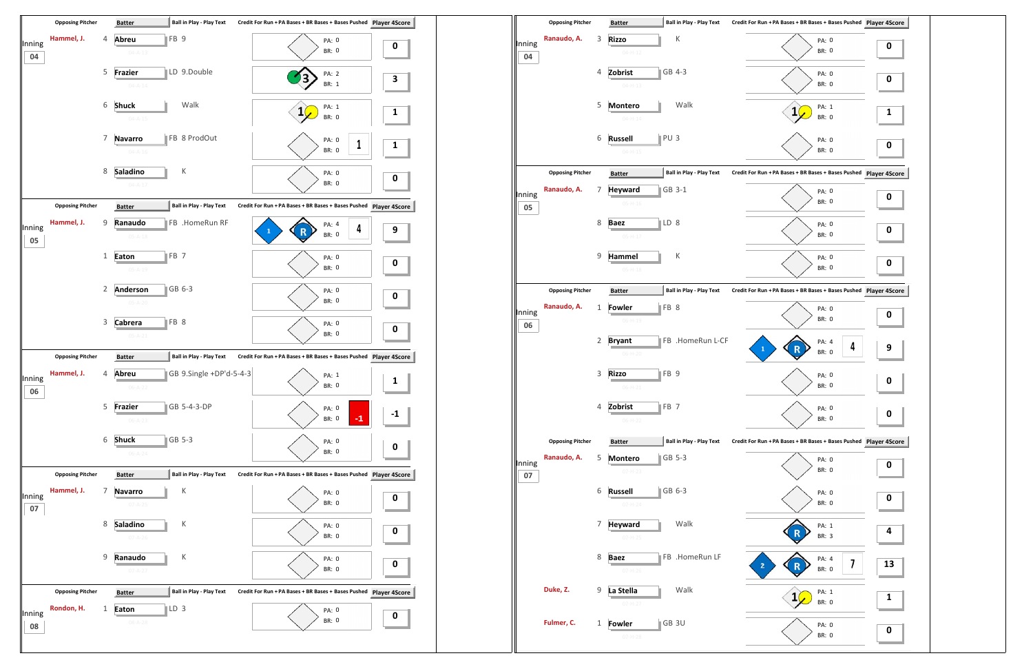

|              |                         |              | patter                                             |                                 |                                                               | $.14$ y $-1.7$ |
|--------------|-------------------------|--------------|----------------------------------------------------|---------------------------------|---------------------------------------------------------------|----------------|
| Inning       | Ranaudo, A.             | 3            | <b>Rizzo</b><br>$04 - H - 12$                      | К                               | PA: 0<br><b>BR: 0</b>                                         | 0              |
| 04           |                         | 4            | Zobrist                                            | GB 4-3                          |                                                               |                |
|              |                         |              | $04 - H - 13$                                      |                                 | PA: 0<br><b>BR: 0</b>                                         | 0              |
|              |                         | 5            | <b>Montero</b>                                     | Walk                            | PA: 1<br>1                                                    | 1              |
|              |                         |              | $04 - H - 14$                                      |                                 | <b>BR: 0</b>                                                  |                |
|              |                         | 6            | PU <sub>3</sub><br><b>Russell</b><br>$04 - H - 15$ |                                 | PA: 0<br>BR: 0                                                | 0              |
|              | <b>Opposing Pitcher</b> |              | <b>Batter</b>                                      | <b>Ball in Play - Play Text</b> | Credit For Run + PA Bases + BR Bases + Bases Pushed Player 4S |                |
|              | Ranaudo, A.             | 7            | <b>Heyward</b>                                     | GB 3-1                          | PA: 0                                                         |                |
| Inning<br>05 |                         |              | $05-H-16$                                          |                                 | <b>BR: 0</b>                                                  | 0              |
|              |                         | 8            | LD 8<br><b>Baez</b>                                |                                 | PA: 0                                                         | 0              |
|              |                         |              | $05-H-17$                                          |                                 | <b>BR: 0</b>                                                  |                |
|              |                         | 9            | Hammel                                             | К                               | PA: 0                                                         | 0              |
|              |                         |              | $05 - H - 18$                                      |                                 | BR: 0                                                         |                |
|              | <b>Opposing Pitcher</b> |              | <b>Batter</b>                                      | Ball in Play - Play Text        | Credit For Run + PA Bases + BR Bases + Bases Pushed Player 49 |                |
| Inning       | Ranaudo, A.             | 1            | FB 8<br>Fowler<br>$06 - H - 19$                    |                                 | PA: 0<br><b>BR: 0</b>                                         | 0              |
| 06           |                         | 2            | <b>Bryant</b>                                      | FB .HomeRun L-CF                | PA: 4                                                         |                |
|              |                         |              | $06-H-20$                                          |                                 | 4<br>$\mathbf{1}$<br><b>BR: 0</b>                             | 9              |
|              |                         | 3            | FB <sub>9</sub><br><b>Rizzo</b>                    |                                 | PA: 0                                                         | 0              |
|              |                         |              | $06 - H - 21$                                      |                                 | BR: 0                                                         |                |
|              |                         | 4            | Zobrist<br>FB <sub>7</sub>                         |                                 | PA: 0<br>BR: 0                                                | 0              |
|              |                         |              | $06-H-22$                                          |                                 |                                                               |                |
|              | <b>Opposing Pitcher</b> |              | <b>Batter</b>                                      | <b>Ball in Play - Play Text</b> | Credit For Run + PA Bases + BR Bases + Bases Pushed Player 4S |                |
| Inning<br>07 | Ranaudo, A.             | 5            | <b>Montero</b><br>$07 - H - 23$                    | GB 5-3                          | PA: 0<br>BR: 0                                                | 0              |
|              |                         | 6            | <b>Russell</b>                                     | GB 6-3                          | PA: 0                                                         |                |
|              |                         |              | $07 - H - 24$                                      |                                 | BR: 0                                                         | 0              |
|              |                         | 7            | <b>Heyward</b>                                     | Walk                            | PA: 1                                                         | 4              |
|              |                         |              | $07-H-25$                                          |                                 | BR: 3                                                         |                |
|              |                         | 8            | <b>Baez</b><br>$07-H-26$                           | FB .HomeRun LF                  | PA: 4<br>7<br>$\overline{\mathbf{2}}$<br>BR: 0                | $\mathbf{1}$   |
|              | Duke, Z.                | 9            | La Stella                                          | Walk                            | PA: 1<br>1                                                    |                |
|              |                         |              | $07-H-27$                                          |                                 | BR: 0                                                         | 1              |
|              | Fulmer, C.              | $\mathbf{1}$ | Fowler                                             | GB 3U                           | PA: 0                                                         | 0              |
|              |                         |              | $07-H-28$                                          |                                 | BR: 0                                                         |                |